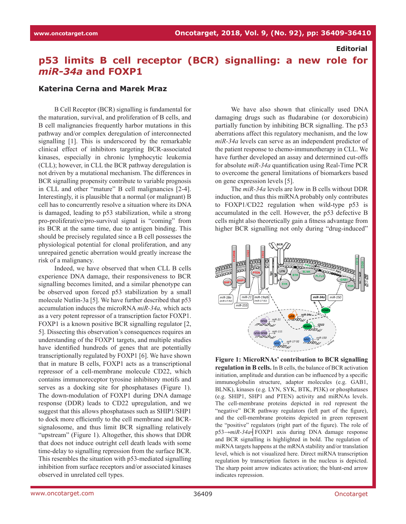## **Editorial**

# **p53 limits B cell receptor (BCR) signalling: a new role for**  *miR-34a* **and FOXP1**

#### **Katerina Cerna and Marek Mraz**

B Cell Receptor (BCR) signalling is fundamental for the maturation, survival, and proliferation of B cells, and B cell malignancies frequently harbor mutations in this pathway and/or complex deregulation of interconnected signalling [1]. This is underscored by the remarkable clinical effect of inhibitors targeting BCR-associated kinases, especially in chronic lymphocytic leukemia (CLL); however, in CLL the BCR pathway deregulation is not driven by a mutational mechanism. The differences in BCR signalling propensity contribute to variable prognosis in CLL and other "mature" B cell malignancies [2-4]. Interestingly, it is plausible that a normal (or malignant) B cell has to concurrently resolve a situation where its DNA is damaged, leading to p53 stabilization, while a strong pro-proliferative/pro-survival signal is "coming" from its BCR at the same time, due to antigen binding. This should be precisely regulated since a B cell possesses the physiological potential for clonal proliferation, and any unrepaired genetic aberration would greatly increase the risk of a malignancy.

Indeed, we have observed that when CLL B cells experience DNA damage, their responsiveness to BCR signalling becomes limited, and a similar phenotype can be observed upon forced p53 stabilization by a small molecule Nutlin-3a [5]. We have further described that p53 accumulation induces the microRNA *miR-34a,* which acts as a very potent repressor of a transcription factor FOXP1. FOXP1 is a known positive BCR signalling regulator [2, 5]. Dissecting this observation's consequences requires an understanding of the FOXP1 targets, and multiple studies have identified hundreds of genes that are potentially transcriptionally regulated by FOXP1 [6]. We have shown that in mature B cells, FOXP1 acts as a transcriptional repressor of a cell-membrane molecule CD22, which contains immunoreceptor tyrosine inhibitory motifs and serves as a docking site for phosphatases (Figure 1). The down-modulation of FOXP1 during DNA damage response (DDR) leads to CD22 upregulation, and we suggest that this allows phosphatases such as SHIP1/SHP1 to dock more efficiently to the cell membrane and BCRsignalosome, and thus limit BCR signalling relatively "upstream" (Figure 1). Altogether, this shows that DDR that does not induce outright cell death leads with some time-delay to signalling repression from the surface BCR. This resembles the situation with p53-mediated signalling inhibition from surface receptors and/or associated kinases observed in unrelated cell types.

We have also shown that clinically used DNA damaging drugs such as fludarabine (or doxorubicin) partially function by inhibiting BCR signalling. The p53 aberrations affect this regulatory mechanism, and the low *miR-34a* levels can serve as an independent predictor of the patient response to chemo-immunotherapy in CLL. We have further developed an assay and determined cut-offs for absolute *miR-34a* quantification using Real-Time PCR to overcome the general limitations of biomarkers based on gene expression levels [5].

The *miR-34a* levels are low in B cells without DDR induction, and thus this miRNA probably only contributes to FOXP1/CD22 regulation when wild-type p53 is accumulated in the cell. However, the p53 defective B cells might also theoretically gain a fitness advantage from higher BCR signalling not only during "drug-induced"



**Figure 1: MicroRNAs' contribution to BCR signalling regulation in B cells.** In B cells, the balance of BCR activation initiation, amplitude and duration can be influenced by a specific immunoglobulin structure, adaptor molecules (e.g. GAB1, BLNK), kinases (e.g. LYN, SYK, BTK, PI3K) or phosphatases (e.g. SHIP1, SHP1 and PTEN) activity and miRNAs levels. The cell-membrane proteins depicted in red represent the "negative" BCR pathway regulators (left part of the figure), and the cell-membrane proteins depicted in green represent the "positive" regulators (right part of the figure). The role of p53→*miR-34a*┤FOXP1 axis during DNA damage response and BCR signalling is highlighted in bold. The regulation of miRNA targets happens at the mRNA stability and/or translation level, which is not visualized here. Direct miRNA transcription regulation by transcription factors in the nucleus is depicted. The sharp point arrow indicates activation; the blunt-end arrow indicates repression.